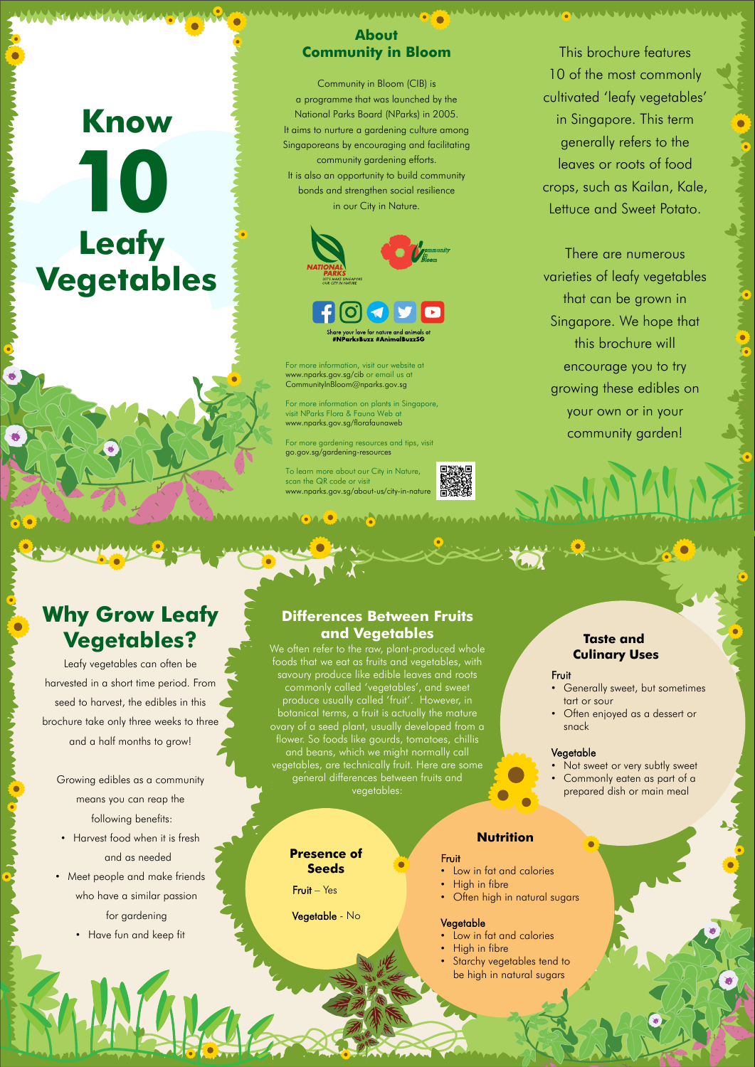## **Know Leafy Vegetables 10**

This brochure features 10 of the most commonly cultivated 'leafy vegetables' in Singapore. This term generally refers to the leaves or roots of food crops, such as Kailan, Kale, Lettuce and Sweet Potato.

WUTAN WUXTU WA TUWA WU

There are numerous varieties of leafy vegetables that can be grown in Singapore. We hope that this brochure will encourage you to try growing these edibles on your own or in your community garden!

#### **About Community in Bloom**

Community in Bloom (CIB) is a programme that was launched by the National Parks Board (NParks) in 2005. It aims to nurture a gardening culture among Singaporeans by encouraging and facilitating community gardening efforts. It is also an opportunity to build community bonds and strengthen social resilience in our City in Nature.



For more information, visit our website at www.nparks.gov.sg/cib or email us at CommunityInBloom@nparks.gov.sg

For more information on plants in Singapore, visit NParks Flora & Fauna Web at www.nparks.gov.sg/florafaunaweb

For more gardening resources and tips, visit go.gov.sg/gardening-resources

To learn more about our City in Nature, scan the QR code or visit www.nparks.gov.sg/about-us/city-in-nature

**ANAN MAMAMAZAN GAZO MARTAMAMAZAN ARABIA** 



- Not sweet or very subtly sweet
- Commonly eaten as part of a prepared dish or main meal

### **Why Grow Leafy Vegetables?**

- Low in fat and calories
- High in fibre
- Starchy vegetables tend to be high in natural sugars

Leafy vegetables can often be harvested in a short time period. From seed to harvest, the edibles in this brochure take only three weeks to three and a half months to grow!

Growing edibles as a community means you can reap the

following benefits:

• Harvest food when it is fresh

and as needed

• Meet people and make friends

who have a similar passion

for gardening

• Have fun and keep fit

#### **Differences Between Fruits and Vegetables**

We often refer to the raw, plant-produced whole foods that we eat as fruits and vegetables, with savoury produce like edible leaves and roots commonly called 'vegetables', and sweet produce usually called 'fruit'. However, in botanical terms, a fruit is actually the mature ovary of a seed plant, usually developed from a flower. So foods like gourds, tomatoes, chillis and beans, which we might normally call vegetables, are technically fruit. Here are some general differences between fruits and vegetables:

#### **Taste and Culinary Uses**

#### Fruit

- Generally sweet, but sometimes tart or sour
- Often enjoyed as a dessert or snack

#### Vegetable

#### **Nutrition**

#### Fruit

- Low in fat and calories
- High in fibre
- Often high in natural sugars

#### Vegetable

**Presence of Seeds**

Fruit – Yes

Vegetable - No